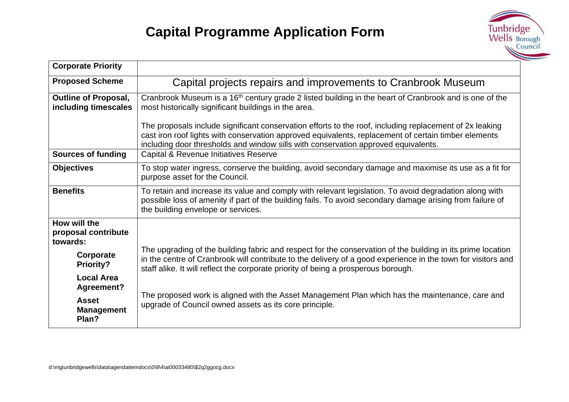

| <b>Corporate Priority</b>                           |                                                                                                                                                                                                                                                                                                                   |  |
|-----------------------------------------------------|-------------------------------------------------------------------------------------------------------------------------------------------------------------------------------------------------------------------------------------------------------------------------------------------------------------------|--|
| <b>Proposed Scheme</b>                              | Capital projects repairs and improvements to Cranbrook Museum                                                                                                                                                                                                                                                     |  |
| <b>Outline of Proposal,</b><br>including timescales | Cranbrook Museum is a 16 <sup>th</sup> century grade 2 listed building in the heart of Cranbrook and is one of the<br>most historically significant buildings in the area.                                                                                                                                        |  |
|                                                     | The proposals include significant conservation efforts to the roof, including replacement of 2x leaking<br>cast iron roof lights with conservation approved equivalents, replacement of certain timber elements<br>including door thresholds and window sills with conservation approved equivalents.             |  |
| <b>Sources of funding</b>                           | Capital & Revenue Initiatives Reserve                                                                                                                                                                                                                                                                             |  |
| <b>Objectives</b>                                   | To stop water ingress, conserve the building, avoid secondary damage and maximise its use as a fit for<br>purpose asset for the Council.                                                                                                                                                                          |  |
| <b>Benefits</b>                                     | To retain and increase its value and comply with relevant legislation. To avoid degradation along with<br>possible loss of amenity if part of the building fails. To avoid secondary damage arising from failure of<br>the building envelope or services.                                                         |  |
| How will the<br>proposal contribute<br>towards:     |                                                                                                                                                                                                                                                                                                                   |  |
| Corporate<br><b>Priority?</b>                       | The upgrading of the building fabric and respect for the conservation of the building in its prime location<br>in the centre of Cranbrook will contribute to the delivery of a good experience in the town for visitors and<br>staff alike. It will reflect the corporate priority of being a prosperous borough. |  |
| <b>Local Area</b><br>Agreement?                     |                                                                                                                                                                                                                                                                                                                   |  |
| <b>Asset</b><br><b>Management</b><br>Plan?          | The proposed work is aligned with the Asset Management Plan which has the maintenance, care and<br>upgrade of Council owned assets as its core principle.                                                                                                                                                         |  |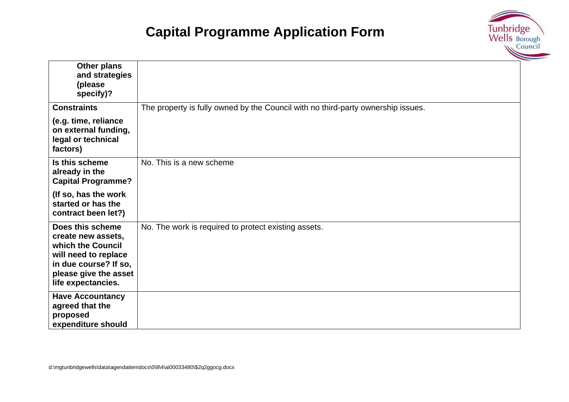

| Other plans<br>and strategies<br>(please<br>specify)?                                                                                                       |                                                                                  |
|-------------------------------------------------------------------------------------------------------------------------------------------------------------|----------------------------------------------------------------------------------|
| <b>Constraints</b>                                                                                                                                          | The property is fully owned by the Council with no third-party ownership issues. |
| (e.g. time, reliance<br>on external funding,<br>legal or technical<br>factors)                                                                              |                                                                                  |
| Is this scheme<br>already in the<br><b>Capital Programme?</b>                                                                                               | No. This is a new scheme                                                         |
| (If so, has the work<br>started or has the<br>contract been let?)                                                                                           |                                                                                  |
| Does this scheme<br>create new assets,<br>which the Council<br>will need to replace<br>in due course? If so,<br>please give the asset<br>life expectancies. | No. The work is required to protect existing assets.                             |
| <b>Have Accountancy</b><br>agreed that the<br>proposed<br>expenditure should                                                                                |                                                                                  |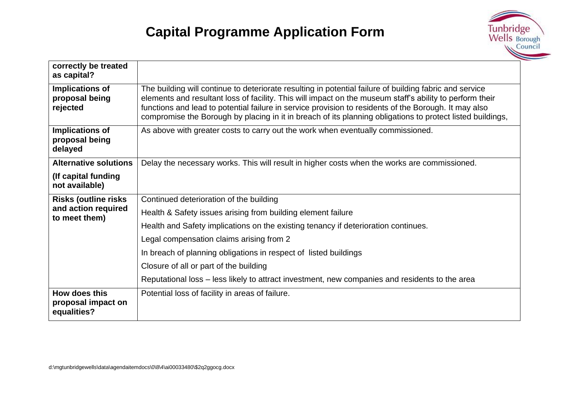

| correctly be treated<br>as capital?                |                                                                                                                                                                                                                                                                                                                                                                                                                                            |
|----------------------------------------------------|--------------------------------------------------------------------------------------------------------------------------------------------------------------------------------------------------------------------------------------------------------------------------------------------------------------------------------------------------------------------------------------------------------------------------------------------|
| Implications of<br>proposal being<br>rejected      | The building will continue to deteriorate resulting in potential failure of building fabric and service<br>elements and resultant loss of facility. This will impact on the museum staff's ability to perform their<br>functions and lead to potential failure in service provision to residents of the Borough. It may also<br>compromise the Borough by placing in it in breach of its planning obligations to protect listed buildings, |
| Implications of<br>proposal being<br>delayed       | As above with greater costs to carry out the work when eventually commissioned.                                                                                                                                                                                                                                                                                                                                                            |
| <b>Alternative solutions</b>                       | Delay the necessary works. This will result in higher costs when the works are commissioned.                                                                                                                                                                                                                                                                                                                                               |
| (If capital funding<br>not available)              |                                                                                                                                                                                                                                                                                                                                                                                                                                            |
| <b>Risks (outline risks)</b>                       | Continued deterioration of the building                                                                                                                                                                                                                                                                                                                                                                                                    |
| and action required<br>to meet them)               | Health & Safety issues arising from building element failure                                                                                                                                                                                                                                                                                                                                                                               |
|                                                    | Health and Safety implications on the existing tenancy if deterioration continues.                                                                                                                                                                                                                                                                                                                                                         |
|                                                    | Legal compensation claims arising from 2                                                                                                                                                                                                                                                                                                                                                                                                   |
|                                                    | In breach of planning obligations in respect of listed buildings                                                                                                                                                                                                                                                                                                                                                                           |
|                                                    | Closure of all or part of the building                                                                                                                                                                                                                                                                                                                                                                                                     |
|                                                    | Reputational loss – less likely to attract investment, new companies and residents to the area                                                                                                                                                                                                                                                                                                                                             |
| How does this<br>proposal impact on<br>equalities? | Potential loss of facility in areas of failure.                                                                                                                                                                                                                                                                                                                                                                                            |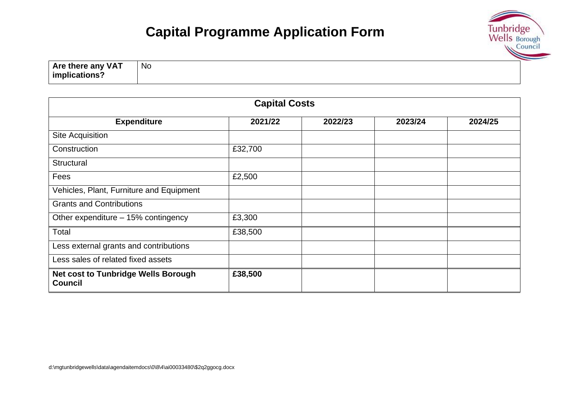

**Are there any VAT implications?** No

| <b>Capital Costs</b>                                         |         |         |         |         |  |
|--------------------------------------------------------------|---------|---------|---------|---------|--|
| <b>Expenditure</b>                                           | 2021/22 | 2022/23 | 2023/24 | 2024/25 |  |
| Site Acquisition                                             |         |         |         |         |  |
| Construction                                                 | £32,700 |         |         |         |  |
| <b>Structural</b>                                            |         |         |         |         |  |
| Fees                                                         | £2,500  |         |         |         |  |
| Vehicles, Plant, Furniture and Equipment                     |         |         |         |         |  |
| <b>Grants and Contributions</b>                              |         |         |         |         |  |
| Other expenditure - 15% contingency                          | £3,300  |         |         |         |  |
| Total                                                        | £38,500 |         |         |         |  |
| Less external grants and contributions                       |         |         |         |         |  |
| Less sales of related fixed assets                           |         |         |         |         |  |
| <b>Net cost to Tunbridge Wells Borough</b><br><b>Council</b> | £38,500 |         |         |         |  |